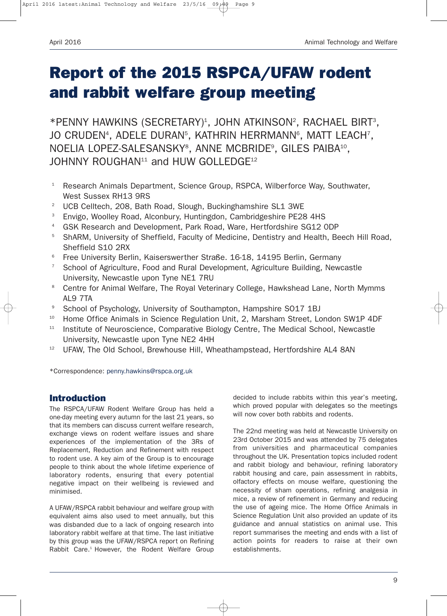# **Report of the 2015 RSPCA/UFAW rodent and rabbit welfare group meeting**

\*PENNY HAWKINS (SECRETARY)<sup>1</sup>, JOHN ATKINSON<sup>2</sup>, RACHAEL BIRT<sup>3</sup>, JO CRUDEN<sup>4</sup>, ADELE DURAN<sup>5</sup>, KATHRIN HERRMANN<sup>6</sup>, MATT LEACH<sup>7</sup>, NOELIA LOPEZ-SALESANSKY<sup>8</sup>, ANNE MCBRIDE<sup>9</sup>, GILES PAIBA<sup>10</sup>, JOHNNY ROUGHAN<sup>11</sup> and HUW GOLLEDGE<sup>12</sup>

- <sup>1</sup> Research Animals Department, Science Group, RSPCA, Wilberforce Way, Southwater, West Sussex RH13 9RS
- <sup>2</sup> UCB Celltech, 208, Bath Road, Slough, Buckinghamshire SL1 3WE
- <sup>3</sup> Envigo, Woolley Road, Alconbury, Huntingdon, Cambridgeshire PE28 4HS
- <sup>4</sup> GSK Research and Development, Park Road, Ware, Hertfordshire SG12 ODP
- <sup>5</sup> ShARM, University of Sheffield, Faculty of Medicine, Dentistry and Health, Beech Hill Road, Sheffield S10 2RX
- <sup>6</sup> Free University Berlin, Kaiserswerther Straße. 16-18, 14195 Berlin, Germany
- <sup>7</sup> School of Agriculture, Food and Rural Development, Agriculture Building, Newcastle University, Newcastle upon Tyne NE1 7RU
- <sup>8</sup> Centre for Animal Welfare, The Royal Veterinary College, Hawkshead Lane, North Mymms AL9 7TA
- <sup>9</sup> School of Psychology, University of Southampton, Hampshire SO17 1BJ
- <sup>10</sup> Home Office Animals in Science Regulation Unit, 2, Marsham Street, London SW1P 4DF
- <sup>11</sup> Institute of Neuroscience, Comparative Biology Centre, The Medical School, Newcastle University, Newcastle upon Tyne NE2 4HH
- <sup>12</sup> UFAW. The Old School, Brewhouse Hill, Wheathampstead, Hertfordshire AL4 8AN

\*Correspondence: penny.hawkins@rspca.org.uk

#### **Introduction**

The RSPCA/UFAW Rodent Welfare Group has held a one-day meeting every autumn for the last 21 years, so that its members can discuss current welfare research, exchange views on rodent welfare issues and share experiences of the implementation of the 3Rs of Replacement, Reduction and Refinement with respect to rodent use. A key aim of the Group is to encourage people to think about the whole lifetime experience of laboratory rodents, ensuring that every potential negative impact on their wellbeing is reviewed and minimised.

A UFAW/RSPCA rabbit behaviour and welfare group with equivalent aims also used to meet annually, but this was disbanded due to a lack of ongoing research into laboratory rabbit welfare at that time. The last initiative by this group was the UFAW/RSPCA report on Refining Rabbit Care.<sup>1</sup> However, the Rodent Welfare Group

decided to include rabbits within this year's meeting, which proved popular with delegates so the meetings will now cover both rabbits and rodents.

The 22nd meeting was held at Newcastle University on 23rd October 2015 and was attended by 75 delegates from universities and pharmaceutical companies throughout the UK. Presentation topics included rodent and rabbit biology and behaviour, refining laboratory rabbit housing and care, pain assessment in rabbits, olfactory effects on mouse welfare, questioning the necessity of sham operations, refining analgesia in mice, a review of refinement in Germany and reducing the use of ageing mice. The Home Office Animals in Science Regulation Unit also provided an update of its guidance and annual statistics on animal use. This report summarises the meeting and ends with a list of action points for readers to raise at their own establishments.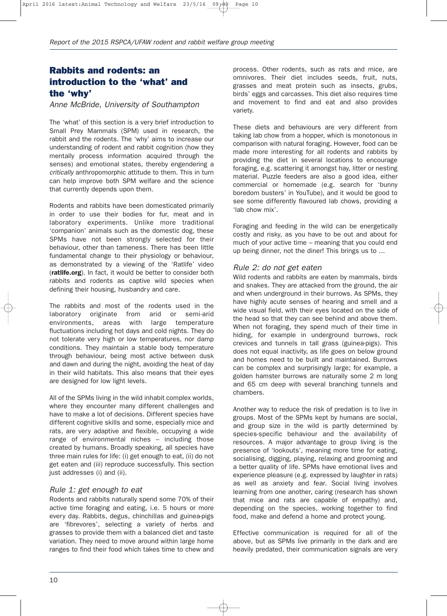# **Rabbits and rodents: an introduction to the 'what' and the 'why'**

*Anne McBride, University of Southampton*

The 'what' of this section is a very brief introduction to Small Prey Mammals (SPM) used in research, the rabbit and the rodents. The 'why' aims to increase our understanding of rodent and rabbit cognition (how they mentally process information acquired through the senses) and emotional states, thereby engendering a *critically* anthropomorphic attitude to them. This in turn can help improve both SPM welfare and the science that currently depends upon them.

Rodents and rabbits have been domesticated primarily in order to use their bodies for fur, meat and in laboratory experiments. Unlike more traditional 'companion' animals such as the domestic dog, these SPMs have not been strongly selected for their behaviour, other than tameness. There has been little fundamental change to their physiology or behaviour, as demonstrated by a viewing of the 'Ratlife' video (**ratlife.org**). In fact, it would be better to consider both rabbits and rodents as captive wild species when defining their housing, husbandry and care.

The rabbits and most of the rodents used in the laboratory originate from arid or semi-arid environments, areas with large temperature fluctuations including hot days and cold nights. They do not tolerate very high or low temperatures, nor damp conditions. They maintain a stable body temperature through behaviour, being most active between dusk and dawn and during the night, avoiding the heat of day in their wild habitats. This also means that their eyes are designed for low light levels.

All of the SPMs living in the wild inhabit complex worlds, where they encounter many different challenges and have to make a lot of decisions. Different species have different cognitive skills and some, especially mice and rats, are very adaptive and flexible, occupying a wide range of environmental niches – including those created by humans. Broadly speaking, all species have three main rules for life: (i) get enough to eat, (ii) do not get eaten and (iii) reproduce successfully. This section just addresses (i) and (ii).

#### *Rule 1: get enough to eat*

Rodents and rabbits naturally spend some 70% of their active time foraging and eating, i.e. 5 hours or more every day. Rabbits, degus, chinchillas and guinea-pigs are 'fibrevores', selecting a variety of herbs and grasses to provide them with a balanced diet and taste variation. They need to move around within large home ranges to find their food which takes time to chew and

process. Other rodents, such as rats and mice, are omnivores. Their diet includes seeds, fruit, nuts, grasses and meat protein such as insects, grubs, birds' eggs and carcasses. This diet also requires time and movement to find and eat and also provides variety.

These diets and behaviours are very different from taking lab chow from a hopper, which is monotonous in comparison with natural foraging. However, food can be made more interesting for all rodents and rabbits by providing the diet in several locations to encourage foraging, e.g. scattering it amongst hay, litter or nesting material. Puzzle feeders are also a good idea, either commercial or homemade (e.g. search for 'bunny boredom busters' in YouTube), and it would be good to see some differently flavoured lab chows, providing a 'lab chow mix'.

Foraging and feeding in the wild can be energetically costly and risky, as you have to be out and about for much of your active time – meaning that you could end up being dinner, not the diner! This brings us to ...

#### *Rule 2: do not get eaten*

Wild rodents and rabbits are eaten by mammals, birds and snakes. They are attacked from the ground, the air and when underground in their burrows. As SPMs, they have highly acute senses of hearing and smell and a wide visual field, with their eyes located on the side of the head so that they can see behind and above them. When not foraging, they spend much of their time in hiding, for example in underground burrows, rock crevices and tunnels in tall grass (guinea-pigs). This does not equal inactivity, as life goes on below ground and homes need to be built and maintained. Burrows can be complex and surprisingly large; for example, a golden hamster burrows are naturally some 2 m long and 65 cm deep with several branching tunnels and chambers.

Another way to reduce the risk of predation is to live in groups. Most of the SPMs kept by humans are social, and group size in the wild is partly determined by species-specific behaviour and the availability of resources. A major advantage to group living is the presence of 'lookouts', meaning more time for eating, socialising, digging, playing, relaxing and grooming and a better quality of life. SPMs have emotional lives and experience pleasure (e.g. expressed by laughter in rats) as well as anxiety and fear. Social living involves learning from one another, caring (research has shown that mice and rats are capable of empathy) and, depending on the species, working together to find food, make and defend a home and protect young.

Effective communication is required for all of the above, but as SPMs live primarily in the dark and are heavily predated, their communication signals are very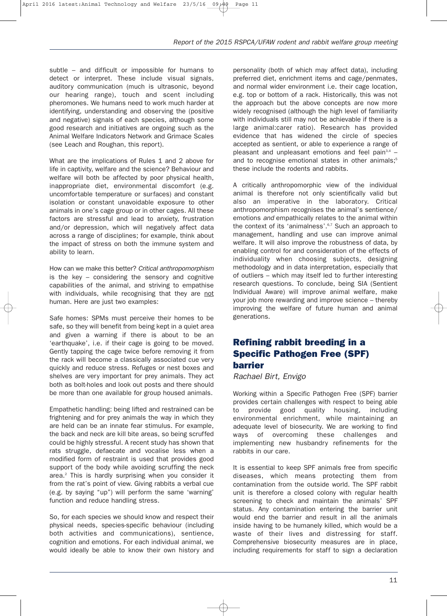subtle – and difficult or impossible for humans to detect or interpret. These include visual signals, auditory communication (much is ultrasonic, beyond our hearing range), touch and scent including pheromones. We humans need to work much harder at identifying, understanding and observing the (positive and negative) signals of each species, although some good research and initiatives are ongoing such as the Animal Welfare Indicators Network and Grimace Scales (see Leach and Roughan, this report).

What are the implications of Rules 1 and 2 above for life in captivity, welfare and the science? Behaviour and welfare will both be affected by poor physical health, inappropriate diet, environmental discomfort (e.g. uncomfortable temperature or surfaces) and constant isolation or constant unavoidable exposure to other animals in one's cage group or in other cages. All these factors are stressful and lead to anxiety, frustration and/or depression, which will negatively affect data across a range of disciplines; for example, think about the impact of stress on both the immune system and ability to learn.

How can we make this better? *Critical anthropomorphism* is the key – considering the sensory and cognitive capabilities of the animal, and striving to empathise with individuals, while recognising that they are not human. Here are just two examples:

Safe homes: SPMs must perceive their homes to be safe, so they will benefit from being kept in a quiet area and given a warning if there is about to be an 'earthquake', i.e. if their cage is going to be moved. Gently tapping the cage twice before removing it from the rack will become a classically associated cue very quickly and reduce stress. Refuges or nest boxes and shelves are very important for prey animals. They act both as bolt-holes and look out posts and there should be more than one available for group housed animals.

Empathetic handling: being lifted and restrained can be frightening and for prey animals the way in which they are held can be an innate fear stimulus. For example, the back and neck are kill bite areas, so being scruffed could be highly stressful. A recent study has shown that rats struggle, defaecate and vocalise less when a modified form of restraint is used that provides good support of the body while avoiding scruffing the neck area.2 This is hardly surprising when you consider it from the rat's point of view. Giving rabbits a verbal cue (e.g. by saying "up") will perform the same 'warning' function and reduce handling stress.

So, for each species we should know and respect their physical needs, species-specific behaviour (including both activities and communications), sentience, cognition and emotions. For each individual animal, we would ideally be able to know their own history and personality (both of which may affect data), including preferred diet, enrichment items and cage/penmates, and normal wider environment i.e. their cage location, e.g. top or bottom of a rack. Historically, this was not the approach but the above concepts are now more widely recognised (although the high level of familiarity with individuals still may not be achievable if there is a large animal:carer ratio). Research has provided evidence that has widened the circle of species accepted as sentient, or able to experience a range of pleasant and unpleasant emotions and feel pain $3,4$  and to recognise emotional states in other animals;<sup>5</sup> these include the rodents and rabbits.

A critically anthropomorphic view of the individual animal is therefore not only scientifically valid but also an imperative in the laboratory. Critical anthropomorphism recognises the animal's sentience/ emotions *and* empathically relates to the animal within the context of its 'animalness'.<sup>6,7</sup> Such an approach to management, handling and use can improve animal welfare. It will also improve the robustness of data, by enabling control for and consideration of the effects of individuality when choosing subjects, designing methodology and in data interpretation, especially that of outliers – which may itself led to further interesting research questions. To conclude, being SIA (Sentient Individual Aware) will improve animal welfare, make your job more rewarding and improve science – thereby improving the welfare of future human and animal generations.

## **Refining rabbit breeding in a Specific Pathogen Free (SPF) barrier**

*Rachael Birt, Envigo*

Working within a Specific Pathogen Free (SPF) barrier provides certain challenges with respect to being able to provide good quality housing, including environmental enrichment, while maintaining an adequate level of biosecurity. We are working to find ways of overcoming these challenges and implementing new husbandry refinements for the rabbits in our care.

It is essential to keep SPF animals free from specific diseases, which means protecting them from contamination from the outside world. The SPF rabbit unit is therefore a closed colony with regular health screening to check and maintain the animals' SPF status. Any contamination entering the barrier unit would end the barrier and result in all the animals inside having to be humanely killed, which would be a waste of their lives and distressing for staff. Comprehensive biosecurity measures are in place, including requirements for staff to sign a declaration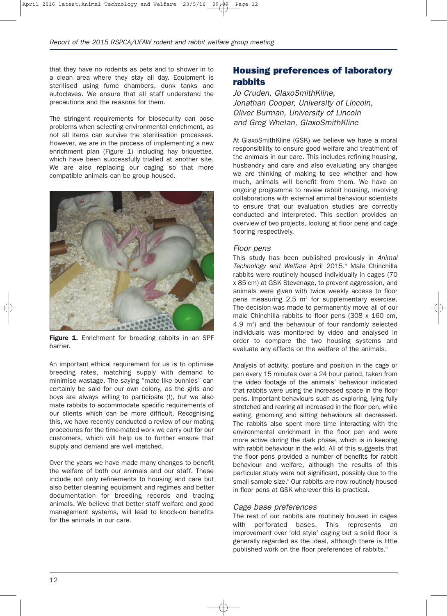that they have no rodents as pets and to shower in to a clean area where they stay all day. Equipment is sterilised using fume chambers, dunk tanks and autoclaves. We ensure that all staff understand the precautions and the reasons for them.

The stringent requirements for biosecurity can pose problems when selecting environmental enrichment, as not all items can survive the sterilisation processes. However, we are in the process of implementing a new enrichment plan (Figure 1) including hay briquettes, which have been successfully trialled at another site. We are also replacing our caging so that more compatible animals can be group housed.



Figure 1. Enrichment for breeding rabbits in an SPF barrier.

An important ethical requirement for us is to optimise breeding rates, matching supply with demand to minimise wastage. The saying "mate like bunnies" can certainly be said for our own colony, as the girls and boys are always willing to participate (!), but we also mate rabbits to accommodate specific requirements of our clients which can be more difficult. Recognising this, we have recently conducted a review of our mating procedures for the time-mated work we carry out for our customers, which will help us to further ensure that supply and demand are well matched.

Over the years we have made many changes to benefit the welfare of both our animals and our staff. These include not only refinements to housing and care but also better cleaning equipment and regimes and better documentation for breeding records and tracing animals. We believe that better staff welfare and good management systems, will lead to knock-on benefits for the animals in our care.

## **Housing preferences of laboratory rabbits**

*Jo Cruden, GlaxoSmithKline, Jonathan Cooper, University of Lincoln, Oliver Burman, University of Lincoln and Greg Whelan, GlaxoSmithKline*

At GlaxoSmithKline (GSK) we believe we have a moral responsibility to ensure good welfare and treatment of the animals in our care. This includes refining housing, husbandry and care and also evaluating any changes we are thinking of making to see whether and how much, animals will benefit from them. We have an ongoing programme to review rabbit housing, involving collaborations with external animal behaviour scientists to ensure that our evaluation studies are correctly conducted and interpreted. This section provides an overview of two projects, looking at floor pens and cage flooring respectively.

#### *Floor pens*

This study has been published previously in *Animal* Technology and Welfare April 2015.<sup>8</sup> Male Chinchilla rabbits were routinely housed individually in cages (70 x 85 cm) at GSK Stevenage, to prevent aggression, and animals were given with twice weekly access to floor pens measuring  $2.5 \text{ m}^2$  for supplementary exercise. The decision was made to permanently move all of our male Chinchilla rabbits to floor pens (308 x 160 cm, 4.9 m<sup>2</sup>) and the behaviour of four randomly selected individuals was monitored by video and analysed in order to compare the two housing systems and evaluate any effects on the welfare of the animals.

Analysis of activity, posture and position in the cage or pen every 15 minutes over a 24 hour period, taken from the video footage of the animals' behaviour indicated that rabbits were using the increased space in the floor pens. Important behaviours such as exploring, lying fully stretched and rearing all increased in the floor pen, while eating, grooming and sitting behaviours all decreased. The rabbits also spent more time interacting with the environmental enrichment in the floor pen and were more active during the dark phase, which is in keeping with rabbit behaviour in the wild. All of this suggests that the floor pens provided a number of benefits for rabbit behaviour and welfare, although the results of this particular study were not significant, possibly due to the small sample size.<sup>8</sup> Our rabbits are now routinely housed in floor pens at GSK wherever this is practical.

#### *Cage base preferences*

The rest of our rabbits are routinely housed in cages with perforated bases. This represents an improvement over 'old style' caging but a solid floor is generally regarded as the ideal, although there is little published work on the floor preferences of rabbits.<sup>9</sup>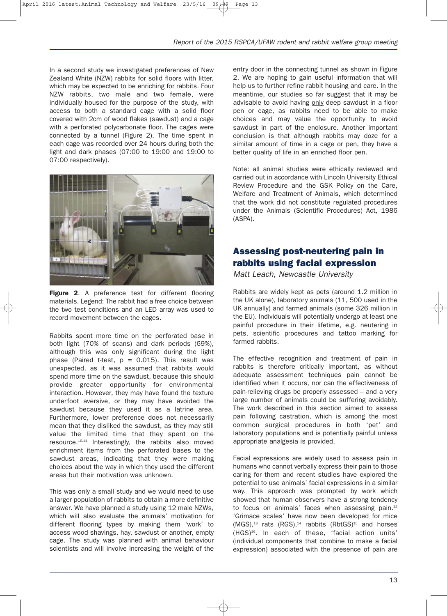In a second study we investigated preferences of New Zealand White (NZW) rabbits for solid floors with litter, which may be expected to be enriching for rabbits. Four NZW rabbits, two male and two female, were individually housed for the purpose of the study, with access to both a standard cage with a solid floor covered with 2cm of wood flakes (sawdust) and a cage with a perforated polycarbonate floor. The cages were connected by a tunnel (Figure 2). The time spent in each cage was recorded over 24 hours during both the light and dark phases (07:00 to 19:00 and 19:00 to 07:00 respectively).



**Figure 2**. A preference test for different flooring materials. Legend: The rabbit had a free choice between the two test conditions and an LED array was used to record movement between the cages.

Rabbits spent more time on the perforated base in both light (70% of scans) and dark periods (69%), although this was only significant during the light phase (Paired t-test,  $p = 0.015$ ). This result was unexpected, as it was assumed that rabbits would spend more time on the sawdust, because this should provide greater opportunity for environmental interaction. However, they may have found the texture underfoot aversive, or they may have avoided the sawdust because they used it as a latrine area. Furthermore, lower preference does not necessarily mean that they disliked the sawdust, as they may still value the limited time that they spent on the resource.10,11 Interestingly, the rabbits also moved enrichment items from the perforated bases to the sawdust areas, indicating that they were making choices about the way in which they used the different areas but their motivation was unknown.

This was only a small study and we would need to use a larger population of rabbits to obtain a more definitive answer. We have planned a study using 12 male NZWs, which will also evaluate the animals' motivation for different flooring types by making them 'work' to access wood shavings, hay, sawdust or another, empty cage. The study was planned with animal behaviour scientists and will involve increasing the weight of the

entry door in the connecting tunnel as shown in Figure 2. We are hoping to gain useful information that will help us to further refine rabbit housing and care. In the meantime, our studies so far suggest that it may be advisable to avoid having only deep sawdust in a floor pen or cage, as rabbits need to be able to make choices and may value the opportunity to avoid sawdust in part of the enclosure. Another important conclusion is that although rabbits may doze for a similar amount of time in a cage or pen, they have a better quality of life in an enriched floor pen.

Note: all animal studies were ethically reviewed and carried out in accordance with Lincoln University Ethical Review Procedure and the GSK Policy on the Care, Welfare and Treatment of Animals, which determined that the work did not constitute regulated procedures under the Animals (Scientific Procedures) Act, 1986 (ASPA).

## **Assessing post-neutering pain in rabbits using facial expression**

*Matt Leach, Newcastle University*

Rabbits are widely kept as pets (around 1.2 million in the UK alone), laboratory animals (11, 500 used in the UK annually) and farmed animals (some 326 million in the EU). Individuals will potentially undergo at least one painful procedure in their lifetime, e.g. neutering in pets, scientific procedures and tattoo marking for farmed rabbits.

The effective recognition and treatment of pain in rabbits is therefore critically important, as without adequate assessment techniques pain cannot be identified when it occurs, nor can the effectiveness of pain-relieving drugs be properly assessed – and a very large number of animals could be suffering avoidably. The work described in this section aimed to assess pain following castration, which is among the most common surgical procedures in both 'pet' and laboratory populations and is potentially painful unless appropriate analgesia is provided.

Facial expressions are widely used to assess pain in humans who cannot verbally express their pain to those caring for them and recent studies have explored the potential to use animals' facial expressions in a similar way. This approach was prompted by work which showed that human observers have a strong tendency to focus on animals' faces when assessing pain.<sup>12</sup> 'Grimace scales' have now been developed for mice  $(MGS)$ ,<sup>13</sup> rats  $(RGS)$ ,<sup>14</sup> rabbits  $(RbtGS)$ <sup>15</sup> and horses (HGS)16. In each of these, 'facial action units' (individual components that combine to make a facial expression) associated with the presence of pain are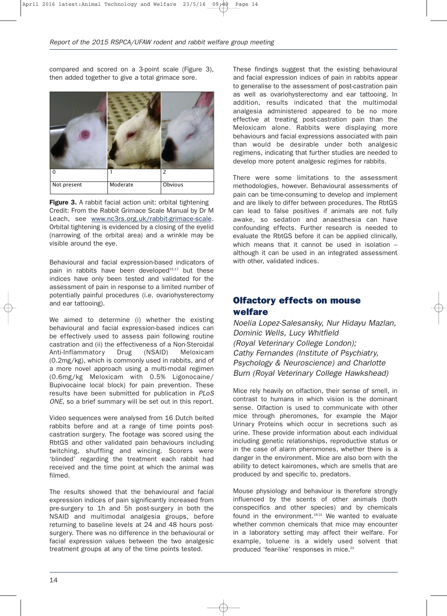compared and scored on a 3-point scale (Figure 3), then added together to give a total grimace sore.



**Figure 3.** A rabbit facial action unit: orbital tightening Credit: From the Rabbit Grimace Scale Manual by Dr M Leach, see www.nc3rs.org.uk/rabbit-grimace-scale. Orbital tightening is evidenced by a closing of the eyelid (narrowing of the orbital area) and a wrinkle may be visible around the eye.

Behavioural and facial expression-based indicators of pain in rabbits have been developed $15,17$  but these indices have only been tested and validated for the assessment of pain in response to a limited number of potentially painful procedures (i.e. ovariohysterectomy and ear tattooing).

We aimed to determine (i) whether the existing behavioural and facial expression-based indices can be effectively used to assess pain following routine castration and (ii) the effectiveness of a Non-Steroidal Anti-Inflammatory Drug (NSAID) Meloxicam (0.2mg/kg), which is commonly used in rabbits, and of a more novel approach using a multi-modal regimen (0.6mg/kg Meloxicam with 0.5% Ligonocaine/ Bupivocaine local block) for pain prevention. These results have been submitted for publication in *PLoS ONE*, so a brief summary will be set out in this report.

Video sequences were analysed from 16 Dutch belted rabbits before and at a range of time points postcastration surgery. The footage was scored using the RbtGS and other validated pain behaviours including twitching, shuffling and wincing. Scorers were 'blinded' regarding the treatment each rabbit had received and the time point at which the animal was filmed.

The results showed that the behavioural and facial expression indices of pain significantly increased from pre-surgery to 1h and 5h post-surgery in both the NSAID and multimodal analgesia groups, before returning to baseline levels at 24 and 48 hours postsurgery. There was no difference in the behavioural or facial expression values between the two analgesic treatment groups at any of the time points tested.

These findings suggest that the existing behavioural and facial expression indices of pain in rabbits appear to generalise to the assessment of post-castration pain as well as ovariohysterectomy and ear tattooing. In addition, results indicated that the multimodal analgesia administered appeared to be no more effective at treating post-castration pain than the Meloxicam alone. Rabbits were displaying more behaviours and facial expressions associated with pain than would be desirable under both analgesic regimens, indicating that further studies are needed to develop more potent analgesic regimes for rabbits.

There were some limitations to the assessment methodologies, however. Behavioural assessments of pain can be time-consuming to develop and implement and are likely to differ between procedures. The RbtGS can lead to false positives if animals are not fully awake, so sedation and anaesthesia can have confounding effects. Further research is needed to evaluate the RbtGS before it can be applied clinically, which means that it cannot be used in isolation although it can be used in an integrated assessment with other, validated indices.

## **Olfactory effects on mouse welfare**

*Noelia Lopez-Salesansky, Nur Hidayu Mazlan, Dominic Wells, Lucy Whitfield (Royal Veterinary College London); Cathy Fernandes (Institute of Psychiatry, Psychology & Neuroscience) and Charlotte Burn (Royal Veterinary College Hawkshead)*

Mice rely heavily on olfaction, their sense of smell, in contrast to humans in which vision is the dominant sense. Olfaction is used to communicate with other mice through pheromones, for example the Major Urinary Proteins which occur in secretions such as urine. These provide information about each individual including genetic relationships, reproductive status or in the case of alarm pheromones, whether there is a danger in the environment. Mice are also born with the ability to detect kairomones, which are smells that are produced by and specific to, predators.

Mouse physiology and behaviour is therefore strongly influenced by the scents of other animals (both conspecifics and other species) and by chemicals found in the environment.<sup>18-21</sup> We wanted to evaluate whether common chemicals that mice may encounter in a laboratory setting may affect their welfare. For example, toluene is a widely used solvent that produced 'fear-like' responses in mice.<sup>22</sup>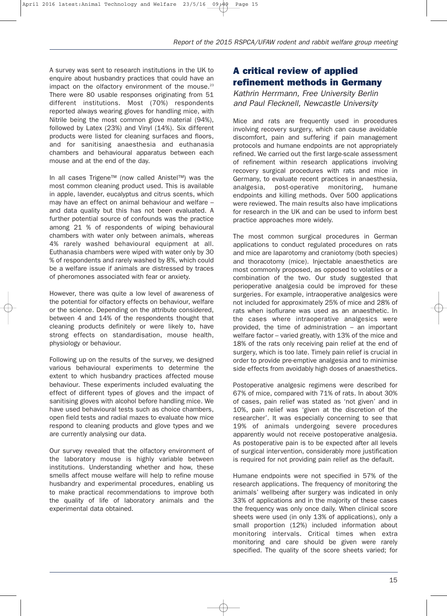A survey was sent to research institutions in the UK to enquire about husbandry practices that could have an impact on the olfactory environment of the mouse. $23$ There were 80 usable responses originating from 51 different institutions. Most (70%) respondents reported always wearing gloves for handling mice, with Nitrile being the most common glove material (94%), followed by Latex (23%) and Vinyl (14%). Six different products were listed for cleaning surfaces and floors, and for sanitising anaesthesia and euthanasia chambers and behavioural apparatus between each mouse and at the end of the day.

In all cases Trigene™ (now called Anistel™) was the most common cleaning product used. This is available in apple, lavender, eucalyptus and citrus scents, which may have an effect on animal behaviour and welfare – and data quality but this has not been evaluated. A further potential source of confounds was the practice among 21 % of respondents of wiping behavioural chambers with water only between animals, whereas 4% rarely washed behavioural equipment at all. Euthanasia chambers were wiped with water only by 30 % of respondents and rarely washed by 8%, which could be a welfare issue if animals are distressed by traces of pheromones associated with fear or anxiety.

However, there was quite a low level of awareness of the potential for olfactory effects on behaviour, welfare or the science. Depending on the attribute considered, between 4 and 14% of the respondents thought that cleaning products definitely or were likely to, have strong effects on standardisation, mouse health, physiology or behaviour.

Following up on the results of the survey, we designed various behavioural experiments to determine the extent to which husbandry practices affected mouse behaviour. These experiments included evaluating the effect of different types of gloves and the impact of sanitising gloves with alcohol before handling mice. We have used behavioural tests such as choice chambers, open field tests and radial mazes to evaluate how mice respond to cleaning products and glove types and we are currently analysing our data.

Our survey revealed that the olfactory environment of the laboratory mouse is highly variable between institutions. Understanding whether and how, these smells affect mouse welfare will help to refine mouse husbandry and experimental procedures, enabling us to make practical recommendations to improve both the quality of life of laboratory animals and the experimental data obtained.

# **A critical review of applied refinement methods in Germany**

*Kathrin Herrmann, Free University Berlin and Paul Flecknell, Newcastle University*

Mice and rats are frequently used in procedures involving recovery surgery, which can cause avoidable discomfort, pain and suffering if pain management protocols and humane endpoints are not appropriately refined. We carried out the first large-scale assessment of refinement within research applications involving recovery surgical procedures with rats and mice in Germany, to evaluate recent practices in anaesthesia, analgesia, post-operative monitoring, humane endpoints and killing methods. Over 500 applications were reviewed. The main results also have implications for research in the UK and can be used to inform best practice approaches more widely.

The most common surgical procedures in German applications to conduct regulated procedures on rats and mice are laparotomy and craniotomy (both species) and thoracotomy (mice). Injectable anaesthetics are most commonly proposed, as opposed to volatiles or a combination of the two. Our study suggested that perioperative analgesia could be improved for these surgeries. For example, intraoperative analgesics were not included for approximately 25% of mice and 28% of rats when isoflurane was used as an anaesthetic. In the cases where intraoperative analgesics were provided, the time of administration – an important welfare factor – varied greatly, with 13% of the mice and 18% of the rats only receiving pain relief at the end of surgery, which is too late. Timely pain relief is crucial in order to provide pre-emptive analgesia and to minimise side effects from avoidably high doses of anaesthetics.

Postoperative analgesic regimens were described for 67% of mice, compared with 71% of rats. In about 30% of cases, pain relief was stated as 'not given' and in 10%, pain relief was 'given at the discretion of the researcher'. It was especially concerning to see that 19% of animals undergoing severe procedures apparently would not receive postoperative analgesia. As postoperative pain is to be expected after all levels of surgical intervention, considerably more justification is required for not providing pain relief as the default.

Humane endpoints were not specified in 57% of the research applications. The frequency of monitoring the animals' wellbeing after surgery was indicated in only 33% of applications and in the majority of these cases the frequency was only once daily. When clinical score sheets were used (in only 13% of applications), only a small proportion (12%) included information about monitoring intervals. Critical times when extra monitoring and care should be given were rarely specified. The quality of the score sheets varied; for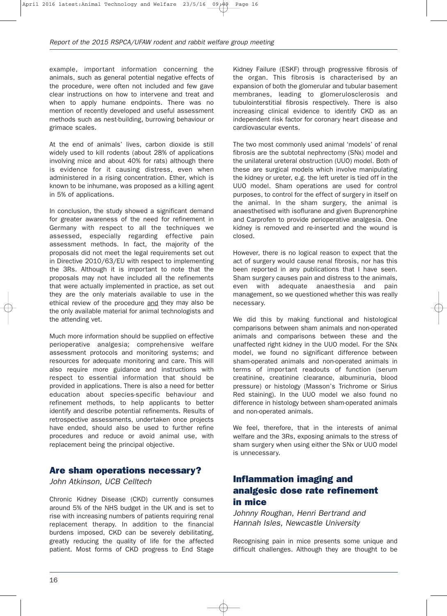example, important information concerning the animals, such as general potential negative effects of the procedure, were often not included and few gave clear instructions on how to intervene and treat and when to apply humane endpoints. There was no mention of recently developed and useful assessment methods such as nest-building, burrowing behaviour or grimace scales.

At the end of animals' lives, carbon dioxide is still widely used to kill rodents (about 28% of applications involving mice and about 40% for rats) although there is evidence for it causing distress, even when administered in a rising concentration. Ether, which is known to be inhumane, was proposed as a killing agent in 5% of applications.

In conclusion, the study showed a significant demand for greater awareness of the need for refinement in Germany with respect to all the techniques we assessed, especially regarding effective pain assessment methods. In fact, the majority of the proposals did not meet the legal requirements set out in Directive 2010/63/EU with respect to implementing the 3Rs. Although it is important to note that the proposals may not have included all the refinements that were actually implemented in practice, as set out they are the only materials available to use in the ethical review of the procedure and they may also be the only available material for animal technologists and the attending vet.

Much more information should be supplied on effective perioperative analgesia; comprehensive welfare assessment protocols and monitoring systems; and resources for adequate monitoring and care. This will also require more guidance and instructions with respect to essential information that should be provided in applications. There is also a need for better education about species-specific behaviour and refinement methods, to help applicants to better identify and describe potential refinements. Results of retrospective assessments, undertaken once projects have ended, should also be used to further refine procedures and reduce or avoid animal use, with replacement being the principal objective.

#### **Are sham operations necessary?**

*John Atkinson, UCB Celltech*

Chronic Kidney Disease (CKD) currently consumes around 5% of the NHS budget in the UK and is set to rise with increasing numbers of patients requiring renal replacement therapy. In addition to the financial burdens imposed, CKD can be severely debilitating, greatly reducing the quality of life for the affected patient. Most forms of CKD progress to End Stage

Kidney Failure (ESKF) through progressive fibrosis of the organ. This fibrosis is characterised by an expansion of both the glomerular and tubular basement membranes, leading to glomerulosclerosis and tubulointerstitial fibrosis respectively. There is also increasing clinical evidence to identify CKD as an independent risk factor for coronary heart disease and cardiovascular events.

The two most commonly used animal 'models' of renal fibrosis are the subtotal nephrectomy (SNx) model and the unilateral ureteral obstruction (UUO) model. Both of these are surgical models which involve manipulating the kidney or ureter, e.g. the left ureter is tied off in the UUO model. Sham operations are used for control purposes, to control for the effect of surgery in itself on the animal. In the sham surgery, the animal is anaesthetised with isoflurane and given Buprenorphine and Carprofen to provide perioperative analgesia. One kidney is removed and re-inserted and the wound is closed.

However, there is no logical reason to expect that the act of surgery would cause renal fibrosis, nor has this been reported in any publications that I have seen. Sham surgery causes pain and distress to the animals, even with adequate anaesthesia and pain management, so we questioned whether this was really necessary.

We did this by making functional and histological comparisons between sham animals and non-operated animals and comparisons between these and the unaffected right kidney in the UUO model. For the SNx model, we found no significant difference between sham-operated animals and non-operated animals in terms of important readouts of function (serum creatinine, creatinine clearance, albuminuria, blood pressure) or histology (Masson's Trichrome or Sirius Red staining). In the UUO model we also found no difference in histology between sham-operated animals and non-operated animals.

We feel, therefore, that in the interests of animal welfare and the 3Rs, exposing animals to the stress of sham surgery when using either the SNx or UUO model is unnecessary.

## **Inflammation imaging and analgesic dose rate refinement in mice**

*Johnny Roughan, Henri Bertrand and Hannah Isles, Newcastle University*

Recognising pain in mice presents some unique and difficult challenges. Although they are thought to be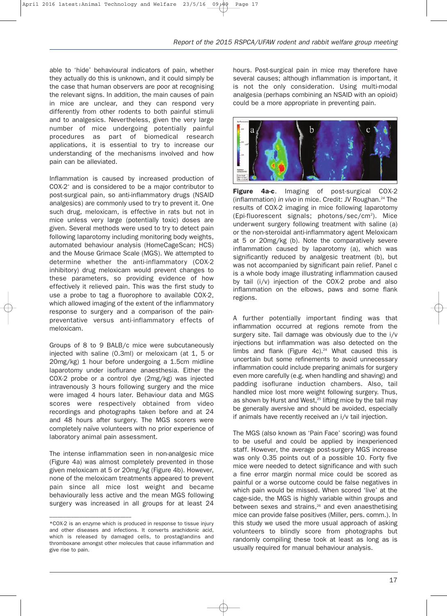able to 'hide' behavioural indicators of pain, whether they actually do this is unknown, and it could simply be the case that human observers are poor at recognising the relevant signs. In addition, the main causes of pain in mice are unclear, and they can respond very differently from other rodents to both painful stimuli and to analgesics. Nevertheless, given the very large number of mice undergoing potentially painful procedures as part of biomedical research applications, it is essential to try to increase our understanding of the mechanisms involved and how pain can be alleviated.

Inflammation is caused by increased production of COX-2\* and is considered to be a major contributor to post-surgical pain, so anti-inflammatory drugs (NSAID analgesics) are commonly used to try to prevent it. One such drug, meloxicam, is effective in rats but not in mice unless very large (potentially toxic) doses are given. Several methods were used to try to detect pain following laparotomy including monitoring body weights, automated behaviour analysis (HomeCageScan; HCS) and the Mouse Grimace Scale (MGS). We attempted to determine whether the anti-inflammatory (COX-2 inhibitory) drug meloxicam would prevent changes to these parameters, so providing evidence of how effectively it relieved pain. This was the first study to use a probe to tag a fluorophore to available COX-2, which allowed imaging of the extent of the inflammatory response to surgery and a comparison of the painpreventative versus anti-inflammatory effects of meloxicam.

Groups of 8 to 9 BALB/c mice were subcutaneously injected with saline (0.3ml) or meloxicam (at 1, 5 or 20mg/kg) 1 hour before undergoing a 1.5cm midline laparotomy under isoflurane anaesthesia. Either the COX-2 probe or a control dye (2mg/kg) was injected intravenously 3 hours following surgery and the mice were imaged 4 hours later. Behaviour data and MGS scores were respectively obtained from video recordings and photographs taken before and at 24 and 48 hours after surgery. The MGS scorers were completely naïve volunteers with no prior experience of laboratory animal pain assessment.

The intense inflammation seen in non-analgesic mice (Figure 4a) was almost completely prevented in those given meloxicam at 5 or 20mg/kg (Figure 4b). However, none of the meloxicam treatments appeared to prevent pain since all mice lost weight and became behaviourally less active and the mean MGS following surgery was increased in all groups for at least 24

––––––––––––––––––––––––––––––

hours. Post-surgical pain in mice may therefore have several causes; although inflammation is important, it is not the only consideration. Using multi-modal analgesia (perhaps combining an NSAID with an opioid) could be a more appropriate in preventing pain.



**Figure 4a-c**. Imaging of post-surgical COX-2 (inflammation) *in vivo* in mice. Credit: JV Roughan.<sup>24</sup> The results of COX-2 imaging in mice following laparotomy (Epi-fluorescent signals; photons/sec/cm<sup>2</sup>). Mice underwent surgery following treatment with saline (a) or the non-steroidal anti-inflammatory agent Meloxicam at 5 or 20mg/kg (b). Note the comparatively severe inflammation caused by laparotomy (a), which was significantly reduced by analgesic treatment (b), but was not accompanied by significant pain relief. Panel c is a whole body image illustrating inflammation caused by tail (i/v) injection of the COX-2 probe and also inflammation on the elbows, paws and some flank regions.

A further potentially important finding was that inflammation occurred at regions remote from the surgery site. Tail damage was obviously due to the i/v injections but inflammation was also detected on the limbs and flank (Figure  $4c$ ).<sup>24</sup> What caused this is uncertain but some refinements to avoid unnecessary inflammation could include preparing animals for surgery even more carefully (e.g. when handling and shaving) and padding isoflurane induction chambers. Also, tail handled mice lost more weight following surgery. Thus, as shown by Hurst and West,<sup>25</sup> lifting mice by the tail may be generally aversive and should be avoided, especially if animals have recently received an i/v tail injection.

The MGS (also known as 'Pain Face' scoring) was found to be useful and could be applied by inexperienced staff. However, the average post-surgery MGS increase was only 0.35 points out of a possible 10. Forty five mice were needed to detect significance and with such a fine error margin normal mice could be scored as painful or a worse outcome could be false negatives in which pain would be missed. When scored 'live' at the cage-side, the MGS is highly variable within groups and between sexes and strains,<sup>26</sup> and even anaesthetising mice can provide false positives (Miller, pers. comm.). In this study we used the more usual approach of asking volunteers to blindly score from photographs but randomly compiling these took at least as long as is usually required for manual behaviour analysis.

<sup>\*</sup>COX-2 is an enzyme which is produced in response to tissue injury and other diseases and infections. It converts arachidonic acid, which is released by damaged cells, to prostaglandins and thromboxane amongst other molecules that cause inflammation and give rise to pain.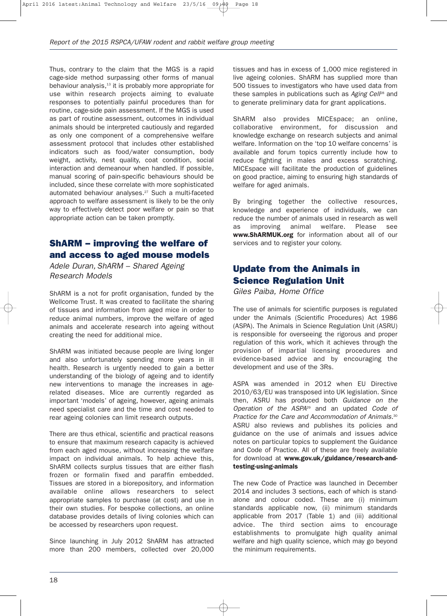Thus, contrary to the claim that the MGS is a rapid cage-side method surpassing other forms of manual behaviour analysis,<sup>13</sup> it is probably more appropriate for use within research projects aiming to evaluate responses to potentially painful procedures than for routine, cage-side pain assessment. If the MGS is used as part of routine assessment, outcomes in individual animals should be interpreted cautiously and regarded as only one component of a comprehensive welfare assessment protocol that includes other established indicators such as food/water consumption, body weight, activity, nest quality, coat condition, social interaction and demeanour when handled. If possible, manual scoring of pain-specific behaviours should be included, since these correlate with more sophisticated automated behaviour analyses.<sup>27</sup> Such a multi-faceted approach to welfare assessment is likely to be the only way to effectively detect poor welfare or pain so that appropriate action can be taken promptly.

# **ShARM – improving the welfare of and access to aged mouse models**

*Adele Duran, ShARM – Shared Ageing Research Models*

ShARM is a not for profit organisation, funded by the Wellcome Trust. It was created to facilitate the sharing of tissues and information from aged mice in order to reduce animal numbers, improve the welfare of aged animals and accelerate research into ageing without creating the need for additional mice.

ShARM was initiated because people are living longer and also unfortunately spending more years in ill health. Research is urgently needed to gain a better understanding of the biology of ageing and to identify new interventions to manage the increases in agerelated diseases. Mice are currently regarded as important 'models' of ageing, however, ageing animals need specialist care and the time and cost needed to rear ageing colonies can limit research outputs.

There are thus ethical, scientific and practical reasons to ensure that maximum research capacity is achieved from each aged mouse, without increasing the welfare impact on individual animals. To help achieve this, ShARM collects surplus tissues that are either flash frozen or formalin fixed and paraffin embedded. Tissues are stored in a biorepository, and information available online allows researchers to select appropriate samples to purchase (at cost) and use in their own studies. For bespoke collections, an online database provides details of living colonies which can be accessed by researchers upon request.

Since launching in July 2012 ShARM has attracted more than 200 members, collected over 20,000

tissues and has in excess of 1,000 mice registered in live ageing colonies. ShARM has supplied more than 500 tissues to investigators who have used data from these samples in publications such as *Aging Cell*<sup>28</sup> and to generate preliminary data for grant applications.

ShARM also provides MICEspace; an online, collaborative environment, for discussion and knowledge exchange on research subjects and animal welfare. Information on the 'top 10 welfare concerns' is available and forum topics currently include how to reduce fighting in males and excess scratching. MICEspace will facilitate the production of guidelines on good practice, aiming to ensuring high standards of welfare for aged animals.

By bringing together the collective resources, knowledge and experience of individuals, we can reduce the number of animals used in research as well as improving animal welfare. Please see **www.ShARMUK.org** for information about all of our services and to register your colony.

# **Update from the Animals in Science Regulation Unit**

*Giles Paiba, Home Office*

The use of animals for scientific purposes is regulated under the Animals (Scientific Procedures) Act 1986 (ASPA). The Animals in Science Regulation Unit (ASRU) is responsible for overseeing the rigorous and proper regulation of this work, which it achieves through the provision of impartial licensing procedures and evidence-based advice and by encouraging the development and use of the 3Rs.

ASPA was amended in 2012 when EU Directive 2010/63/EU was transposed into UK legislation. Since then, ASRU has produced both *Guidance on the Operation of the ASPA*<sup>29</sup> and an updated *Code of Practice for the Care and Accommodation of Animals.*<sup>30</sup> ASRU also reviews and publishes its policies and guidance on the use of animals and issues advice notes on particular topics to supplement the Guidance and Code of Practice. All of these are freely available for download at **www.gov.uk/guidance/research-andtesting-using-animals**

The new Code of Practice was launched in December 2014 and includes 3 sections, each of which is standalone and colour coded. These are (i) minimum standards applicable now, (ii) minimum standards applicable from 2017 (Table 1) and (iii) additional advice. The third section aims to encourage establishments to promulgate high quality animal welfare and high quality science, which may go beyond the minimum requirements.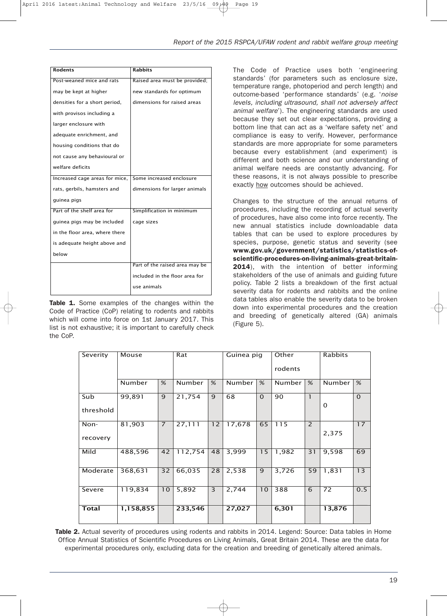| <b>Rodents</b>                 | Rabbits                        |
|--------------------------------|--------------------------------|
| Post-weaned mice and rats      | Raised area must be provided;  |
| may be kept at higher          | new standards for optimum      |
| densities for a short period,  | dimensions for raised areas    |
| with provisos including a      |                                |
| larger enclosure with          |                                |
| adequate enrichment, and       |                                |
| housing conditions that do     |                                |
| not cause any behavioural or   |                                |
| welfare deficits               |                                |
| Increased cage areas for mice, | Some increased enclosure       |
| rats, gerbils, hamsters and    | dimensions for larger animals  |
| guinea pigs                    |                                |
| Part of the shelf area for     | Simplification in minimum      |
| guinea pigs may be included    | cage sizes                     |
| in the floor area, where there |                                |
| is adequate height above and   |                                |
| below                          |                                |
|                                | Part of the raised area may be |
|                                | included in the floor area for |
|                                | use animals                    |

**Table 1.** Some examples of the changes within the Code of Practice (CoP) relating to rodents and rabbits which will come into force on 1st January 2017. This list is not exhaustive; it is important to carefully check the CoP.

The Code of Practice uses both 'engineering standards' (for parameters such as enclosure size, temperature range, photoperiod and perch length) and outcome-based 'performance standards' (e.g. '*noise levels, including ultrasound, shall not adversely affect animal welfare*'). The engineering standards are used because they set out clear expectations, providing a bottom line that can act as a 'welfare safety net' and compliance is easy to verify. However, performance standards are more appropriate for some parameters because every establishment (and experiment) is different and both science and our understanding of animal welfare needs are constantly advancing. For these reasons, it is not always possible to prescribe exactly how outcomes should be achieved.

Changes to the structure of the annual returns of procedures, including the recording of actual severity of procedures, have also come into force recently. The new annual statistics include downloadable data tables that can be used to explore procedures by species, purpose, genetic status and severity (see **www.gov.uk/government/statistics/statistics-ofscientific-procedures-on-living-animals-great-britain-2014**), with the intention of better informing stakeholders of the use of animals and guiding future policy. Table 2 lists a breakdown of the first actual severity data for rodents and rabbits and the online data tables also enable the severity data to be broken down into experimental procedures and the creation and breeding of genetically altered (GA) animals (Figure 5).

| Severity         | Mouse     |                 | Rat     |    | Guinea pig |          | Other<br>rodents |                          | <b>Rabbits</b> |          |
|------------------|-----------|-----------------|---------|----|------------|----------|------------------|--------------------------|----------------|----------|
|                  | Number    | %               | Number  | %  | Number     | %        | Number I         | %                        | Number         | %        |
| Sub<br>threshold | 99,891    | 9               | 21,754  | 9  | 68         | $\Omega$ | 90               | $\mathbf{1}$             | $\Omega$       | $\Omega$ |
| Non-<br>recovery | 81,903    | $\overline{7}$  | 27,111  | 12 | 17,678     | 65       | 115              | $\overline{\phantom{0}}$ | 2,375          | 17       |
| Mild             | 488,596   | 42              | 112,754 | 48 | 3,999      | 15       | 1,982            | 31                       | 9,598          | 69       |
| Moderate         | 368,631   | $\overline{32}$ | 66,035  | 28 | 2,538      | 9        | 3,726            | 59                       | 1,831          | 13       |
| Severe           | 119,834   | 10              | 5,892   | 3  | 2,744      | 10       | 388              | 6                        | 72             | 0.5      |
| <b>Total</b>     | 1,158,855 |                 | 233,546 |    | 27,027     |          | 6,301            |                          | 13,876         |          |

**Table 2.** Actual severity of procedures using rodents and rabbits in 2014. Legend: Source: Data tables in Home Office Annual Statistics of Scientific Procedures on Living Animals, Great Britain 2014. These are the data for experimental procedures only, excluding data for the creation and breeding of genetically altered animals.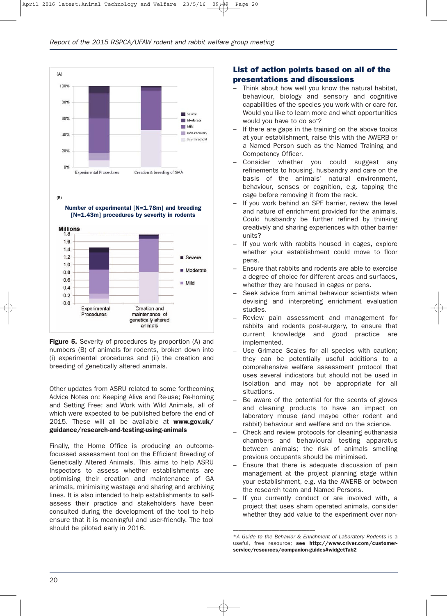

**Figure 5.** Severity of procedures by proportion (A) and numbers (B) of animals for rodents, broken down into (i) experimental procedures and (ii) the creation and breeding of genetically altered animals.

Other updates from ASRU related to some forthcoming Advice Notes on: Keeping Alive and Re-use; Re-homing and Setting Free; and Work with Wild Animals, all of which were expected to be published before the end of 2015. These will all be available at **www.gov.uk/ guidance/research-and-testing-using-animals**

Finally, the Home Office is producing an outcomefocussed assessment tool on the Efficient Breeding of Genetically Altered Animals. This aims to help ASRU Inspectors to assess whether establishments are optimising their creation and maintenance of GA animals, minimising wastage and sharing and archiving lines. It is also intended to help establishments to selfassess their practice and stakeholders have been consulted during the development of the tool to help ensure that it is meaningful and user-friendly. The tool should be piloted early in 2016.

#### **List of action points based on all of the presentations and discussions**

- Think about how well you know the natural habitat, behaviour, biology and sensory and cognitive capabilities of the species you work with or care for. Would you like to learn more and what opportunities would you have to do so\* ?
- If there are gaps in the training on the above topics at your establishment, raise this with the AWERB or a Named Person such as the Named Training and Competency Officer.
- Consider whether you could suggest any refinements to housing, husbandry and care on the basis of the animals' natural environment, behaviour, senses or cognition, e.g. tapping the cage before removing it from the rack.
- If you work behind an SPF barrier, review the level and nature of enrichment provided for the animals. Could husbandry be further refined by thinking creatively and sharing experiences with other barrier units?
- If you work with rabbits housed in cages, explore whether your establishment could move to floor pens.
- Ensure that rabbits and rodents are able to exercise a degree of choice for different areas and surfaces, whether they are housed in cages or pens.
- Seek advice from animal behaviour scientists when devising and interpreting enrichment evaluation studies.
- Review pain assessment and management for rabbits and rodents post-surgery, to ensure that current knowledge and good practice are implemented.
- Use Grimace Scales for all species with caution; they can be potentially useful additions to a comprehensive welfare assessment protocol that uses several indicators but should not be used in isolation and may not be appropriate for all situations.
- Be aware of the potential for the scents of gloves and cleaning products to have an impact on laboratory mouse (and maybe other rodent and rabbit) behaviour and welfare and on the science.
- Check and review protocols for cleaning euthanasia chambers and behavioural testing apparatus between animals; the risk of animals smelling previous occupants should be minimised.
- Ensure that there is adequate discussion of pain management at the project planning stage within your establishment, e.g. via the AWERB or between the research team and Named Persons.
- If you currently conduct or are involved with, a project that uses sham operated animals, consider whether they add value to the experiment over non-

––––––––––––––––––––––––––––––

<sup>\*</sup>*A Guide to the Behavior & Enrichment of Laboratory Rodents* is a useful, free resource; **see http://www.criver.com/customerservice/resources/companion-guides#widgetTab2**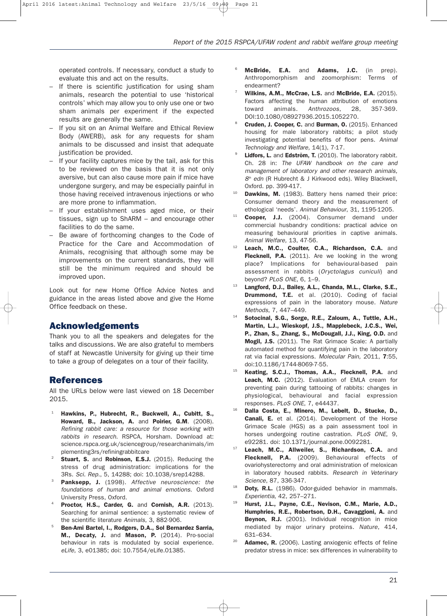operated controls. If necessary, conduct a study to evaluate this and act on the results.

- If there is scientific justification for using sham animals, research the potential to use 'historical controls' which may allow you to only use one or two sham animals per experiment if the expected results are generally the same.
- If you sit on an Animal Welfare and Ethical Review Body (AWERB), ask for any requests for sham animals to be discussed and insist that adequate justification be provided.
- If your facility captures mice by the tail, ask for this to be reviewed on the basis that it is not only aversive, but can also cause more pain if mice have undergone surgery, and may be especially painful in those having received intravenous injections or who are more prone to inflammation.
- If your establishment uses aged mice, or their tissues, sign up to ShARM – and encourage other facilities to do the same.
- Be aware of forthcoming changes to the Code of Practice for the Care and Accommodation of Animals, recognising that although some may be improvements on the current standards, they will still be the minimum required and should be improved upon.

Look out for new Home Office Advice Notes and guidance in the areas listed above and give the Home Office feedback on these.

#### **Acknowledgements**

Thank you to all the speakers and delegates for the talks and discussions. We are also grateful to members of staff at Newcastle University for giving up their time to take a group of delegates on a tour of their facility.

#### **References**

All the URLs below were last viewed on 18 December 2015.

- <sup>21</sup> **Hawkins, P., Hubrecht, R., Buckwell, A., Cubitt, S., Howard, B., Jackson, A.** and **Poirier, G.M**. (2008). *Refining rabbit care: a resource for those working with rabbits in research.* RSPCA, Horsham. Download at: science.rspca.org.uk/sciencegroup/researchanimals/im plementing3rs/refiningrabbitcare
- <sup>22</sup> **Stuart, S.** and **Robinson, E.S.J.** (2015). Reducing the stress of drug administration: implications for the 3Rs. *Sci. Rep.*, 5, 14288; doi: 10.1038/srep14288.
- <sup>23</sup> **Panksepp, J.** (1998). *Affective neuroscience: the foundations of human and animal emotions*. Oxford University Press, Oxford.
- Proctor, H.S., Carder, G. and Cornish, A.R. (2013). Searching for animal sentience: a systematic review of the scientific literature *Animals*, 3, 882-906.
- <sup>25</sup> **Ben-Ami Bartel, I., Rodgers, D.A., Sol Bernardez Sarria, M., Decaty, J.** and **Mason, P.** (2014). Pro-social behaviour in rats is modulated by social experience. *eLife*, 3, e01385; doi: 10.7554/eLife.01385.
- <sup>26</sup> **McBride, E.A.** and **Adams, J.C.** (in prep). Anthropomorphism and zoomorphism: Terms of endearment?
- <sup>27</sup> **Wilkins, A.M., McCrae, L.S.** and **McBride, E.A.** (2015). Factors affecting the human attribution of emotions toward animals. *Anthrozoos*, 28, 357-369. DOI:10.1080/08927936.2015.1052270.
- <sup>28</sup> **Cruden, J. Cooper, C.** and **Burman, O.** (2015). Enhanced housing for male laboratory rabbits; a pilot study investigating potential benefits of floor pens. *Animal Technology and Welfare,* 14(1), 7-17.
- Lidfors, L. and Edström, T. (2010). The laboratory rabbit. Ch. 28 in: *The UFAW handbook on the care and management of laboratory and other research animals, 8th edn* (R Hubrecht & J Kirkwood eds). Wiley Blackwell, Oxford. pp. 399-417.
- **Dawkins, M.** (1983). Battery hens named their price: Consumer demand theory and the measurement of ethological 'needs'. *Animal Behaviour*, 31, 1195-1205.
- Cooper, J.J. (2004). Consumer demand under commercial husbandry conditions: practical advice on measuring behavioural priorities in captive animals. *Animal Welfare,* 13, 47-56.
- Leach, M.C., Coulter, C.A., Richardson, C.A. and **Flecknell, P.A.** (2011). Are we looking in the wrong place? Implications for behavioural-based pain assessment in rabbits (*Oryctolagus cuniculi*) and beyond? *PLoS ONE*, 6, 1–9.
- Langford, D.J., Bailey, A.L., Chanda, M.L., Clarke, S.E., **Drummond, T.E.** et al. (2010). Coding of facial expressions of pain in the laboratory mouse. *Nature Methods*, 7, 447–449.
- <sup>14</sup> **Sotocinal, S.G., Sorge, R.E., Zaloum, A., Tuttle, A.H., Martin, L.J., Wieskopf, J.S., Mapplebeck, J.C.S., Wei, P., Zhan, S., Zhang, S., McDougall, J.J., King, O.D.** and **Mogil, J.S.** (2011). The Rat Grimace Scale: A partially automated method for quantifying pain in the laboratory rat via facial expressions. *Molecular Pain,* 2011, **7**:55, doi:10.1186/1744-8069-7-55.
- <sup>15</sup> **Keating, S.C.J., Thomas, A.A., Flecknell, P.A.** and Leach, M.C. (2012). Evaluation of EMLA cream for preventing pain during tattooing of rabbits: changes in physiological, behavioural and facial expression responses. *PLoS ONE*, 7, e44437.
- <sup>16</sup> **Dalla Costa, E., Minero, M., Lebelt, D., Stucke, D., Canali, E.** et al. (2014). Development of the Horse Grimace Scale (HGS) as a pain assessment tool in horses undergoing routine castration. *PLoS ONE*, 9, e92281. doi: 10.1371/journal.pone.0092281.
- Leach, M.C., Allweiler, S., Richardson, C.A. and **Flecknell, P.A.** (2009). Behavioural effects of ovariohysterectomy and oral administration of meloxican in laboratory housed rabbits. *Research in Veterinary Science*, 87, 336-347.
- <sup>18</sup> **Doty, R.L.** (1986). Odor-guided behavior in mammals. *Experientia*, 42, 257–271.
- <sup>19</sup> **Hurst, J.L., Payne, C.E., Nevison, C.M., Marie, A.D., Humphries, R.E., Robertson, D.H., Cavaggioni, A.** and Beynon, R.J. (2001). Individual recognition in mice mediated by major urinary proteins. *Nature*, 414, 631–634.
- <sup>20</sup> **Adamec, R.** (2006). Lasting anxiogenic effects of feline predator stress in mice: sex differences in vulnerability to